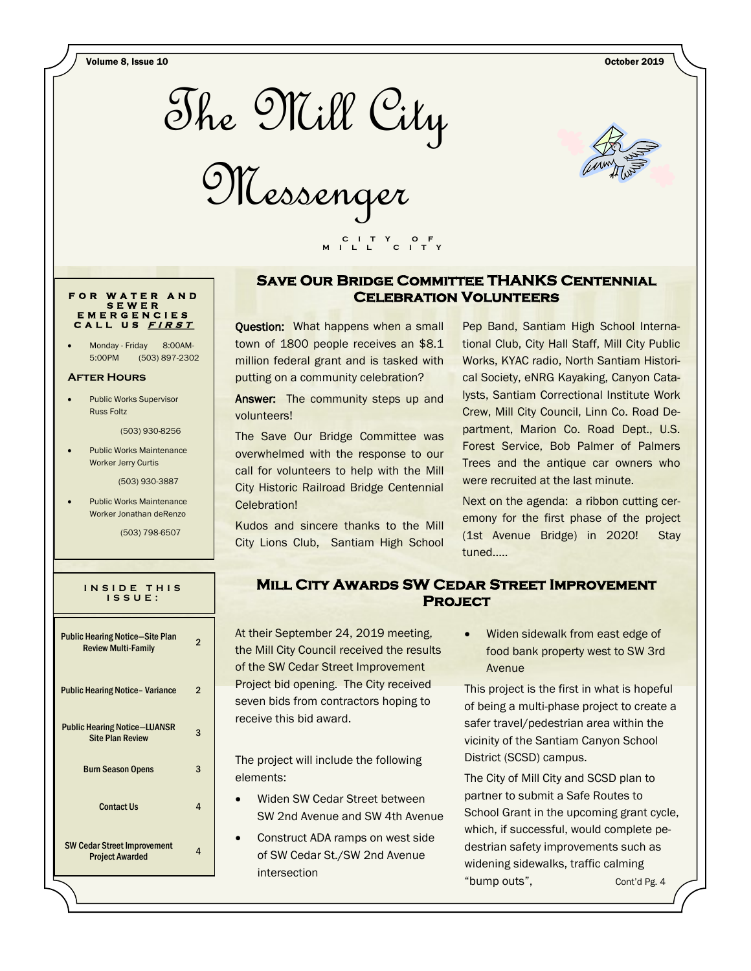Volume 8, Issue 10 October 2019



Messenger



### **Save Our Bridge Committee THANKS Centennial Celebration Volunteers**

**Ouestion:** What happens when a small town of 1800 people receives an \$8.1 million federal grant and is tasked with putting on a community celebration?

 **C I T Y O F M I L L C I T Y**

Answer: The community steps up and volunteers!

The Save Our Bridge Committee was overwhelmed with the response to our call for volunteers to help with the Mill City Historic Railroad Bridge Centennial Celebration!

Kudos and sincere thanks to the Mill City Lions Club, Santiam High School

Pep Band, Santiam High School International Club, City Hall Staff, Mill City Public Works, KYAC radio, North Santiam Historical Society, eNRG Kayaking, Canyon Catalysts, Santiam Correctional Institute Work Crew, Mill City Council, Linn Co. Road Department, Marion Co. Road Dept., U.S. Forest Service, Bob Palmer of Palmers Trees and the antique car owners who were recruited at the last minute.

Next on the agenda: a ribbon cutting ceremony for the first phase of the project (1st Avenue Bridge) in 2020! Stay tuned.....

# **Mill City Awards SW Cedar Street Improvement Project**

At their September 24, 2019 meeting, the Mill City Council received the results of the SW Cedar Street Improvement Project bid opening. The City received seven bids from contractors hoping to receive this bid award.

The project will include the following elements:

- Widen SW Cedar Street between SW 2nd Avenue and SW 4th Avenue
- Construct ADA ramps on west side of SW Cedar St./SW 2nd Avenue intersection

 Widen sidewalk from east edge of food bank property west to SW 3rd Avenue

This project is the first in what is hopeful of being a multi-phase project to create a safer travel/pedestrian area within the vicinity of the Santiam Canyon School District (SCSD) campus.

The City of Mill City and SCSD plan to partner to submit a Safe Routes to School Grant in the upcoming grant cycle, which, if successful, would complete pedestrian safety improvements such as widening sidewalks, traffic calming "bump outs", Cont'd Pg. 4

**F O R W A T E R A N D S E W E R E M E R G E N C I E S C A L L U S <sup>F</sup> <sup>I</sup> <sup>R</sup> <sup>S</sup> <sup>T</sup>**

Monday - Friday 8:00AM-5:00PM (503) 897-2302

#### **After Hours**

 Public Works Supervisor Russ Foltz

(503) 930-8256

 Public Works Maintenance Worker Jerry Curtis

(503) 930-3887

 Public Works Maintenance Worker Jonathan deRenzo

(503) 798-6507

|  |  |             | INSIDE THIS |  |
|--|--|-------------|-------------|--|
|  |  | I S S U E : |             |  |
|  |  |             |             |  |

| <b>Public Hearing Notice-Site Plan</b><br><b>Review Multi-Family</b> | 2 |
|----------------------------------------------------------------------|---|
| <b>Public Hearing Notice - Variance</b>                              | 2 |
| <b>Public Hearing Notice–LUANSR</b><br><b>Site Plan Review</b>       | 3 |
| <b>Burn Season Opens</b>                                             | 3 |
| <b>Contact Us</b>                                                    | 4 |
| <b>SW Cedar Street Improvement</b><br><b>Project Awarded</b>         | 4 |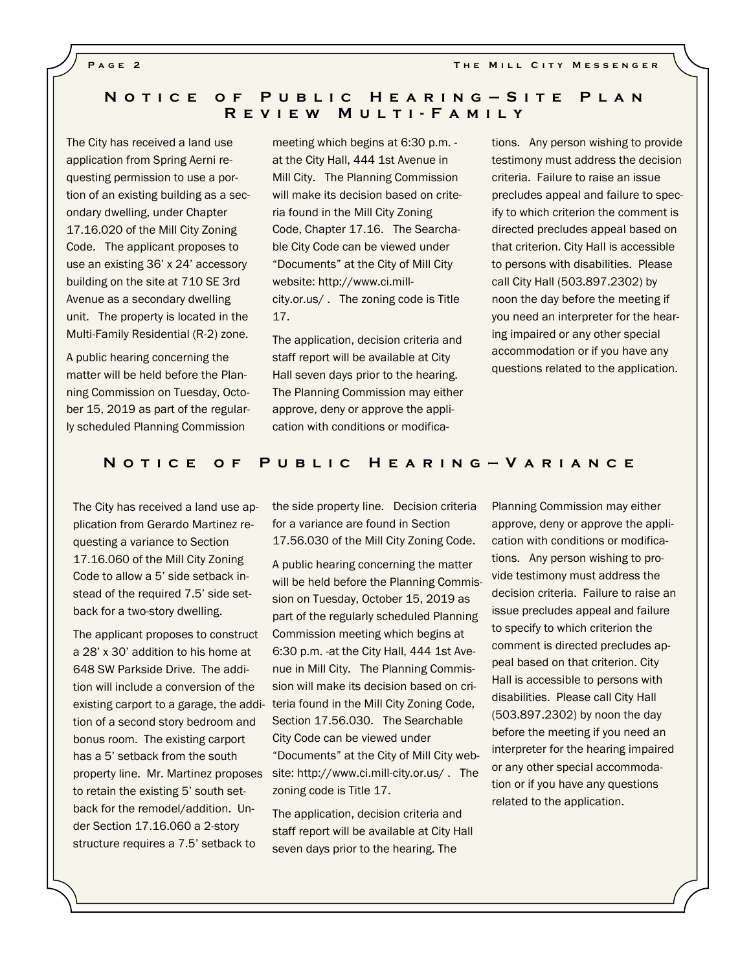**PAGE 2 THE MILL CITY MESSENGER** 

# **N o t i c e o f P u b l i c H e a r i n g — S i t e P l a n R e v i e w M u l t i - F a m i l y**

The City has received a land use application from Spring Aerni requesting permission to use a portion of an existing building as a secondary dwelling, under Chapter 17.16.020 of the Mill City Zoning Code. The applicant proposes to use an existing 36' x 24' accessory building on the site at 710 SE 3rd Avenue as a secondary dwelling unit. The property is located in the Multi-Family Residential (R-2) zone.

A public hearing concerning the matter will be held before the Planning Commission on Tuesday, October 15, 2019 as part of the regularly scheduled Planning Commission

meeting which begins at 6:30 p.m. at the City Hall, 444 1st Avenue in Mill City. The Planning Commission will make its decision based on criteria found in the Mill City Zoning Code, Chapter 17.16. The Searchable City Code can be viewed under "Documents" at the City of Mill City website: http://www.ci.millcity.or.us/ . The zoning code is Title 17.

The application, decision criteria and staff report will be available at City Hall seven days prior to the hearing. The Planning Commission may either approve, deny or approve the application with conditions or modifications. Any person wishing to provide testimony must address the decision criteria. Failure to raise an issue precludes appeal and failure to specify to which criterion the comment is directed precludes appeal based on that criterion. City Hall is accessible to persons with disabilities. Please call City Hall (503.897.2302) by noon the day before the meeting if you need an interpreter for the hearing impaired or any other special accommodation or if you have any questions related to the application.

#### **N o t i c e o f P u b l i c H e a r i n g — V a r i a n c e**

The City has received a land use application from Gerardo Martinez requesting a variance to Section 17.16.060 of the Mill City Zoning Code to allow a 5' side setback instead of the required 7.5' side setback for a two-story dwelling.

The applicant proposes to construct a 28' x 30' addition to his home at 648 SW Parkside Drive. The addition will include a conversion of the tion of a second story bedroom and bonus room. The existing carport has a 5' setback from the south property line. Mr. Martinez proposes to retain the existing 5' south setback for the remodel/addition. Under Section 17.16.060 a 2-story structure requires a 7.5' setback to

the side property line. Decision criteria for a variance are found in Section 17.56.030 of the Mill City Zoning Code.

A public hearing concerning the matter will be held before the Planning Commission on Tuesday, October 15, 2019 as part of the regularly scheduled Planning Commission meeting which begins at 6:30 p.m. -at the City Hall, 444 1st Avenue in Mill City. The Planning Commission will make its decision based on criexisting carport to a garage, the addi- teria found in the Mill City Zoning Code, Section 17.56.030. The Searchable City Code can be viewed under "Documents" at the City of Mill City website: http://www.ci.mill-city.or.us/ . The zoning code is Title 17.

> The application, decision criteria and staff report will be available at City Hall seven days prior to the hearing. The

Planning Commission may either approve, deny or approve the application with conditions or modifications. Any person wishing to provide testimony must address the decision criteria. Failure to raise an issue precludes appeal and failure to specify to which criterion the comment is directed precludes appeal based on that criterion. City Hall is accessible to persons with disabilities. Please call City Hall (503.897.2302) by noon the day before the meeting if you need an interpreter for the hearing impaired or any other special accommodation or if you have any questions related to the application.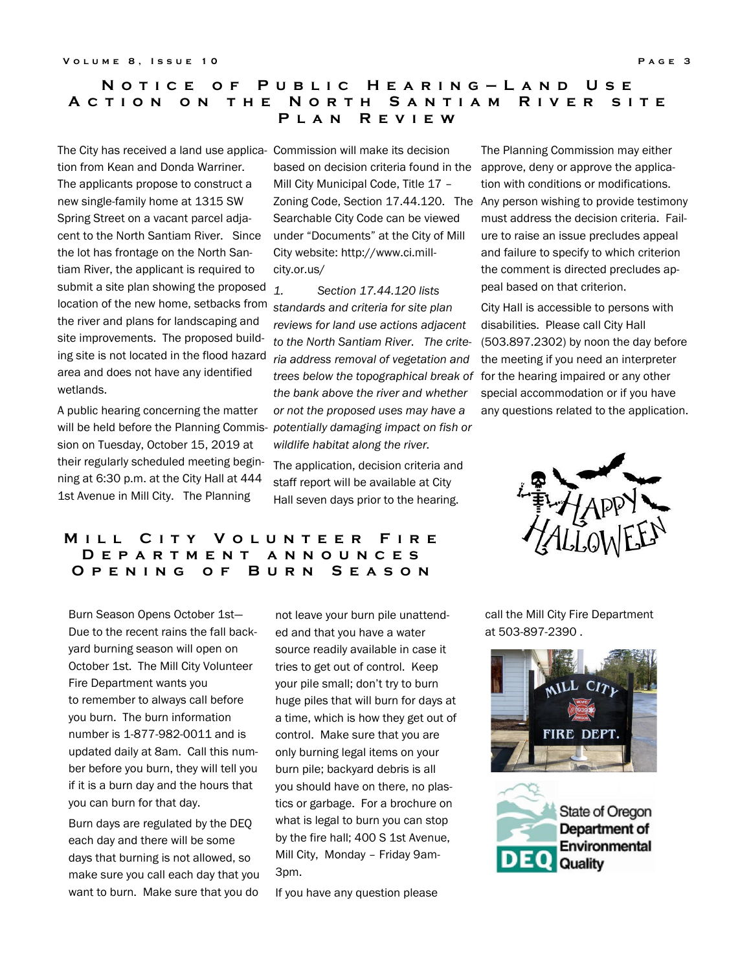## **N o t i c e o f P u b l i c H e a r i n g — L a n d U s e A C T I O N O N T H E N O R T H S A N T I A M R I V E R S IT E P l a n R e v i e w**

The City has received a land use applica-Commission will make its decision tion from Kean and Donda Warriner. The applicants propose to construct a new single-family home at 1315 SW Spring Street on a vacant parcel adjacent to the North Santiam River. Since the lot has frontage on the North Santiam River, the applicant is required to submit a site plan showing the proposed  $1$ . location of the new home, setbacks from the river and plans for landscaping and site improvements. The proposed building site is not located in the flood hazard area and does not have any identified wetlands.

A public hearing concerning the matter will be held before the Planning Commission on Tuesday, October 15, 2019 at their regularly scheduled meeting beginning at 6:30 p.m. at the City Hall at 444 1st Avenue in Mill City. The Planning

based on decision criteria found in the approve, deny or approve the applica-Mill City Municipal Code, Title 17 – Searchable City Code can be viewed under "Documents" at the City of Mill City website: http://www.ci.millcity.or.us/

*1. Section 17.44.120 lists standards and criteria for site plan reviews for land use actions adjacent to the North Santiam River. The criteria address removal of vegetation and trees below the topographical break of the bank above the river and whether or not the proposed uses may have a potentially damaging impact on fish or wildlife habitat along the river.* 

The application, decision criteria and staff report will be available at City Hall seven days prior to the hearing.

# **MILL CITY VOLUNTEER FIRE D e p a r t m e n t a n n o u n c e s O p e n i n g o f B u r n S e a s o n**

Burn Season Opens October 1st— Due to the recent rains the fall backyard burning season will open on October 1st. The Mill City Volunteer Fire Department wants you to remember to always call before you burn. The burn information number is 1-877-982-0011 and is updated daily at 8am. Call this number before you burn, they will tell you if it is a burn day and the hours that you can burn for that day.

Burn days are regulated by the DEQ each day and there will be some days that burning is not allowed, so make sure you call each day that you want to burn. Make sure that you do

not leave your burn pile unattended and that you have a water source readily available in case it tries to get out of control. Keep your pile small; don't try to burn huge piles that will burn for days at a time, which is how they get out of control. Make sure that you are only burning legal items on your burn pile; backyard debris is all you should have on there, no plastics or garbage. For a brochure on what is legal to burn you can stop by the fire hall; 400 S 1st Avenue, Mill City, Monday – Friday 9am-3pm.

If you have any question please

Zoning Code, Section 17.44.120. The Any person wishing to provide testimony The Planning Commission may either tion with conditions or modifications. must address the decision criteria. Failure to raise an issue precludes appeal and failure to specify to which criterion the comment is directed precludes appeal based on that criterion.

> City Hall is accessible to persons with disabilities. Please call City Hall (503.897.2302) by noon the day before the meeting if you need an interpreter for the hearing impaired or any other special accommodation or if you have any questions related to the application.



call the Mill City Fire Department at 503-897-2390 .